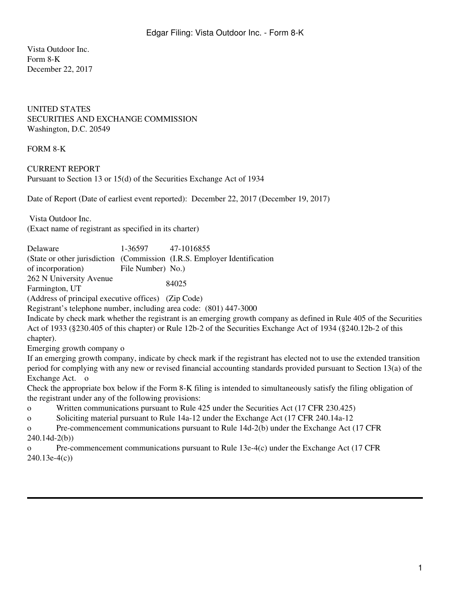Vista Outdoor Inc. Form 8-K December 22, 2017

## UNITED STATES SECURITIES AND EXCHANGE COMMISSION Washington, D.C. 20549

## FORM 8-K

## CURRENT REPORT Pursuant to Section 13 or 15(d) of the Securities Exchange Act of 1934

Date of Report (Date of earliest event reported): December 22, 2017 (December 19, 2017)

 Vista Outdoor Inc. (Exact name of registrant as specified in its charter)

| Delaware                | 1-36597 47-1016855 |                                                                           |
|-------------------------|--------------------|---------------------------------------------------------------------------|
|                         |                    | (State or other jurisdiction (Commission (I.R.S. Employer Identification) |
| of incorporation)       | File Number) No.   |                                                                           |
| 262 N University Avenue | 84025              |                                                                           |
| Farmington, UT          |                    |                                                                           |

(Address of principal executive offices) (Zip Code)

Registrant's telephone number, including area code: (801) 447-3000

Indicate by check mark whether the registrant is an emerging growth company as defined in Rule 405 of the Securities Act of 1933 (§230.405 of this chapter) or Rule 12b-2 of the Securities Exchange Act of 1934 (§240.12b-2 of this chapter).

Emerging growth company o

If an emerging growth company, indicate by check mark if the registrant has elected not to use the extended transition period for complying with any new or revised financial accounting standards provided pursuant to Section 13(a) of the Exchange Act. o

Check the appropriate box below if the Form 8-K filing is intended to simultaneously satisfy the filing obligation of the registrant under any of the following provisions:

o Written communications pursuant to Rule 425 under the Securities Act (17 CFR 230.425)

o Soliciting material pursuant to Rule 14a-12 under the Exchange Act (17 CFR 240.14a-12

o Pre-commencement communications pursuant to Rule 14d-2(b) under the Exchange Act (17 CFR 240.14d-2(b))

o Pre-commencement communications pursuant to Rule 13e-4(c) under the Exchange Act (17 CFR 240.13e-4(c))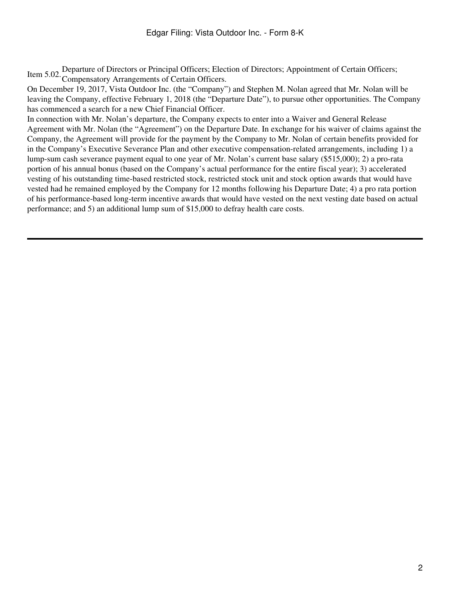Item 5.02. Departure of Directors or Principal Officers; Election of Directors; Appointment of Certain Officers;<br>Compensatory Arrangements of Certain Officers.

On December 19, 2017, Vista Outdoor Inc. (the "Company") and Stephen M. Nolan agreed that Mr. Nolan will be leaving the Company, effective February 1, 2018 (the "Departure Date"), to pursue other opportunities. The Company has commenced a search for a new Chief Financial Officer.

In connection with Mr. Nolan's departure, the Company expects to enter into a Waiver and General Release Agreement with Mr. Nolan (the "Agreement") on the Departure Date. In exchange for his waiver of claims against the Company, the Agreement will provide for the payment by the Company to Mr. Nolan of certain benefits provided for in the Company's Executive Severance Plan and other executive compensation-related arrangements, including 1) a lump-sum cash severance payment equal to one year of Mr. Nolan's current base salary (\$515,000); 2) a pro-rata portion of his annual bonus (based on the Company's actual performance for the entire fiscal year); 3) accelerated vesting of his outstanding time-based restricted stock, restricted stock unit and stock option awards that would have vested had he remained employed by the Company for 12 months following his Departure Date; 4) a pro rata portion of his performance-based long-term incentive awards that would have vested on the next vesting date based on actual performance; and 5) an additional lump sum of \$15,000 to defray health care costs.